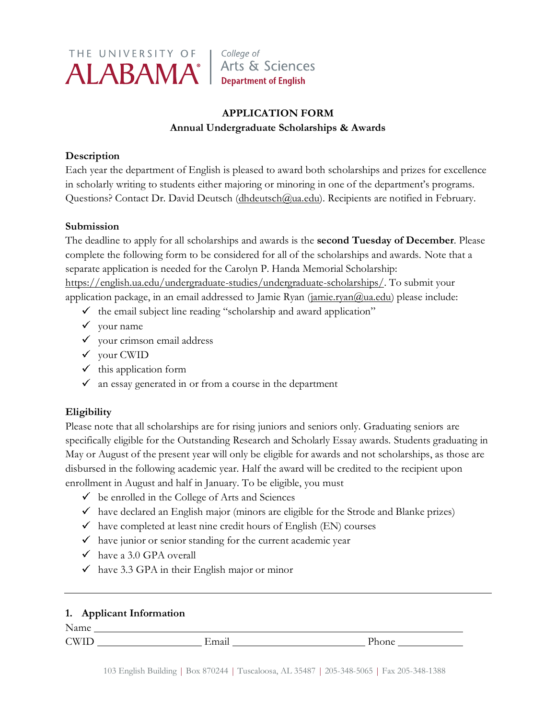

College of Arts & Sciences **Department of English** 

# **APPLICATION FORM Annual Undergraduate Scholarships & Awards**

### **Description**

Each year the department of English is pleased to award both scholarships and prizes for excellence in scholarly writing to students either majoring or minoring in one of the department's programs. Questions? Contact Dr. David Deutsch [\(dhdeutsch@ua.edu\)](mailto:dhdeutsch@ua.edu). Recipients are notified in February.

#### **Submission**

The deadline to apply for all scholarships and awards is the **second Tuesday of December**. Please complete the following form to be considered for all of the scholarships and awards. Note that a separate application is needed for the Carolyn P. Handa Memorial Scholarship: [https://english.ua.edu/undergraduate-studies/undergraduate-scholarships/.](https://english.ua.edu/undergraduate-studies/undergraduate-scholarships/) To submit your application package, in an email addressed to Jamie Ryan  $(i$ <sub>amie.ryan $@$ ua.edu</sub>) please include:

- $\checkmark$  the email subject line reading "scholarship and award application"
- $\checkmark$  your name
- $\checkmark$  your crimson email address
- $\checkmark$  your CWID
- $\checkmark$  this application form
- $\checkmark$  an essay generated in or from a course in the department

# **Eligibility**

Please note that all scholarships are for rising juniors and seniors only. Graduating seniors are specifically eligible for the Outstanding Research and Scholarly Essay awards. Students graduating in May or August of the present year will only be eligible for awards and not scholarships, as those are disbursed in the following academic year. Half the award will be credited to the recipient upon enrollment in August and half in January. To be eligible, you must

- $\checkmark$  be enrolled in the College of Arts and Sciences
- $\checkmark$  have declared an English major (minors are eligible for the Strode and Blanke prizes)
- $\checkmark$  have completed at least nine credit hours of English (EN) courses
- $\checkmark$  have junior or senior standing for the current academic year
- $\checkmark$  have a 3.0 GPA overall
- $\checkmark$  have 3.3 GPA in their English major or minor

## **1. Applicant Information**

Name

CWID Email Phone